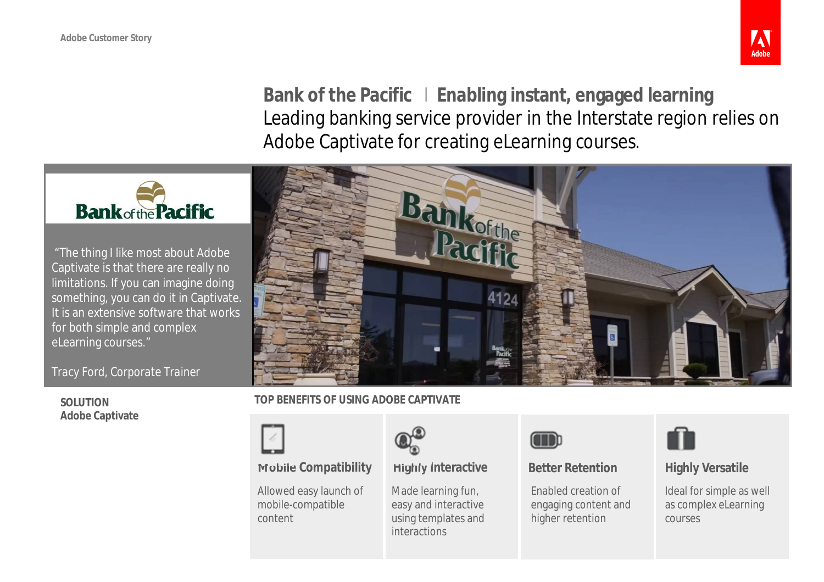

**Bank of the Pacific I Enabling instant, engaged learning** Leading banking service provider in the Interstate region relies on Adobe Captivate for creating eLearning courses.



"The thing I like most about Adobe Captivate is that there are really no limitations. If you can imagine doing something, you can do it in Captivate. It is an extensive software that works for both simple and complex eLearning courses."

*Tracy Ford, Corporate Trainer*

**SOLUTION Adobe Captivate**



## **TOP BENEFITS OF USING ADOBE CAPTIVATE**



# **Mobile Compatibility Highly Interactive Better Retention Highly Versatile**

Allowed easy launch of mobile-compatible content



Made learning fun, easy and interactive using templates and interactions



Enabled creation of engaging content and higher retention



Ideal for simple as well as complex eLearning courses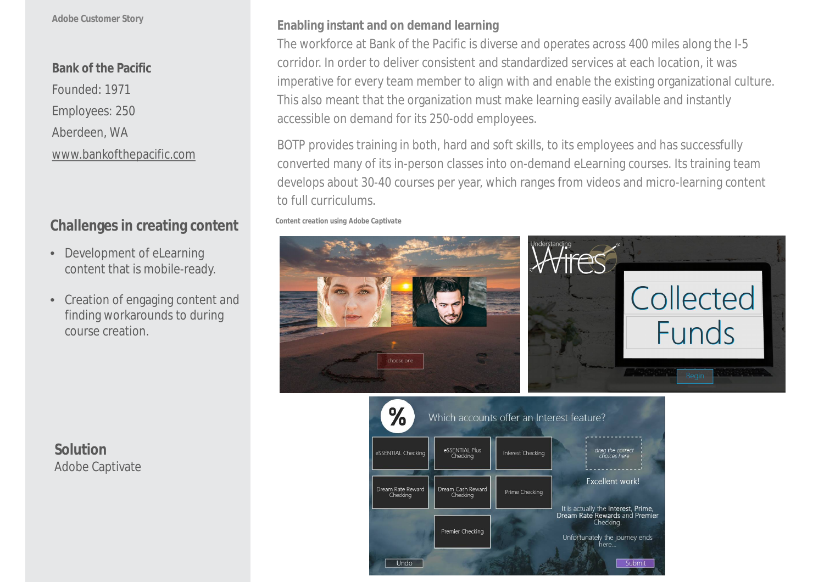### **Adobe Customer Story**

# **Bank of the Pacific**

Founded: 1971 Employees: 250 Aberdeen, WA [www.bankofthepacific.com](http://www.bankofthepacific.com)

# **Challenges in creating content**

- Development of eLearning content that is mobile-ready.
- Creation of engaging content and finding workarounds to during course creation.

**Enabling instant and on demand learning**

The workforce at Bank of the Pacific is diverse and operates across 400 miles along the I-5 corridor. In order to deliver consistent and standardized services at each location, it was imperative for every team member to align with and enable the existing organizational culture. This also meant that the organization must make learning easily available and instantly accessible on demand for its 250-odd employees.

BOTP provides training in both, hard and soft skills, to its employees and has successfully converted many of its in-person classes into on-demand eLearning courses. Its training team develops about 30-40 courses per year, which ranges from videos and micro-learning content to full curriculums.

*Content creation using Adobe Captivate*





**Solution** Adobe Captivate